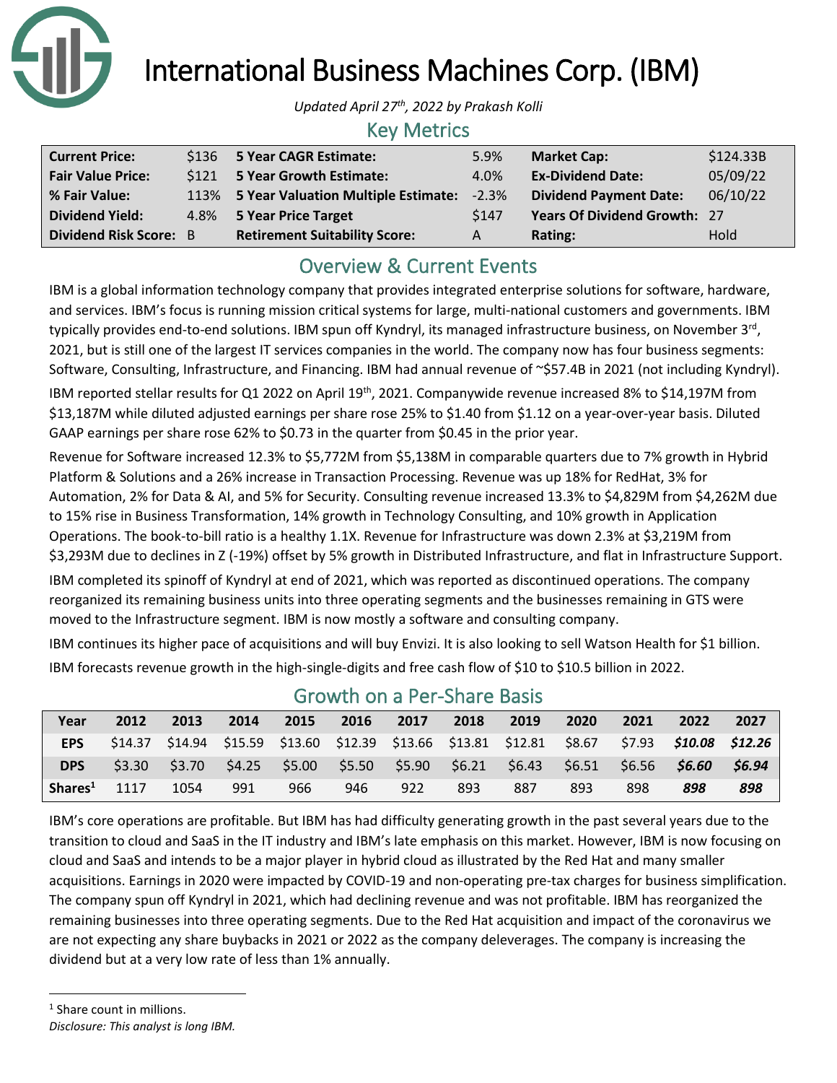

International Business Machines Corp. (IBM)

*Updated April 27th, 2022 by Prakash Kolli*

### Key Metrics

| <b>Current Price:</b>         |      | \$136 5 Year CAGR Estimate:              | 5.9%    | <b>Market Cap:</b>                  | \$124.33B |
|-------------------------------|------|------------------------------------------|---------|-------------------------------------|-----------|
| <b>Fair Value Price:</b>      | S121 | 5 Year Growth Estimate:                  | 4.0%    | <b>Ex-Dividend Date:</b>            | 05/09/22  |
| % Fair Value:                 |      | 113% 5 Year Valuation Multiple Estimate: | $-2.3%$ | <b>Dividend Payment Date:</b>       | 06/10/22  |
| <b>Dividend Yield:</b>        |      | 4.8% 5 Year Price Target                 | \$147   | <b>Years Of Dividend Growth: 27</b> |           |
| <b>Dividend Risk Score: B</b> |      | <b>Retirement Suitability Score:</b>     | A       | Rating:                             | Hold      |

## Overview & Current Events

IBM is a global information technology company that provides integrated enterprise solutions for software, hardware, and services. IBM's focus is running mission critical systems for large, multi-national customers and governments. IBM typically provides end-to-end solutions. IBM spun off Kyndryl, its managed infrastructure business, on November 3<sup>rd</sup>, 2021, but is still one of the largest IT services companies in the world. The company now has four business segments: Software, Consulting, Infrastructure, and Financing. IBM had annual revenue of ~\$57.4B in 2021 (not including Kyndryl). IBM reported stellar results for Q1 2022 on April 19th, 2021. Companywide revenue increased 8% to \$14,197M from \$13,187M while diluted adjusted earnings per share rose 25% to \$1.40 from \$1.12 on a year-over-year basis. Diluted GAAP earnings per share rose 62% to \$0.73 in the quarter from \$0.45 in the prior year.

Revenue for Software increased 12.3% to \$5,772M from \$5,138M in comparable quarters due to 7% growth in Hybrid Platform & Solutions and a 26% increase in Transaction Processing. Revenue was up 18% for RedHat, 3% for Automation, 2% for Data & AI, and 5% for Security. Consulting revenue increased 13.3% to \$4,829M from \$4,262M due to 15% rise in Business Transformation, 14% growth in Technology Consulting, and 10% growth in Application Operations. The book-to-bill ratio is a healthy 1.1X. Revenue for Infrastructure was down 2.3% at \$3,219M from \$3,293M due to declines in Z (-19%) offset by 5% growth in Distributed Infrastructure, and flat in Infrastructure Support. IBM completed its spinoff of Kyndryl at end of 2021, which was reported as discontinued operations. The company reorganized its remaining business units into three operating segments and the businesses remaining in GTS were moved to the Infrastructure segment. IBM is now mostly a software and consulting company.

IBM continues its higher pace of acquisitions and will buy Envizi. It is also looking to sell Watson Health for \$1 billion. IBM forecasts revenue growth in the high-single-digits and free cash flow of \$10 to \$10.5 billion in 2022.

| Year                | 2012   | 2013 | 2014 | 2015 | 2016 | 2017 | 2018 | 2019                                                    | 2020 | 2021 | 2022                                                                                                      | 2027  |
|---------------------|--------|------|------|------|------|------|------|---------------------------------------------------------|------|------|-----------------------------------------------------------------------------------------------------------|-------|
| <b>EPS</b>          |        |      |      |      |      |      |      |                                                         |      |      | $$14.37$ $$14.94$ $$15.59$ $$13.60$ $$12.39$ $$13.66$ $$13.81$ $$12.81$ $$8.67$ $$7.93$ $$10.08$ $$12.26$ |       |
| <b>DPS</b>          | \$3.30 |      |      |      |      |      |      | \$3.70 \$4.25 \$5.00 \$5.50 \$5.90 \$6.21 \$6.43 \$6.51 |      |      |                                                                                                           | 56.94 |
| Shares <sup>1</sup> | 1117   | 1054 | 991  | 966  | 946  | 922  | 893  | 887                                                     | 893  | 898  | 898                                                                                                       | 898   |

## Growth on a Per-Share Basis

IBM's core operations are profitable. But IBM has had difficulty generating growth in the past several years due to the transition to cloud and SaaS in the IT industry and IBM's late emphasis on this market. However, IBM is now focusing on cloud and SaaS and intends to be a major player in hybrid cloud as illustrated by the Red Hat and many smaller acquisitions. Earnings in 2020 were impacted by COVID-19 and non-operating pre-tax charges for business simplification. The company spun off Kyndryl in 2021, which had declining revenue and was not profitable. IBM has reorganized the remaining businesses into three operating segments. Due to the Red Hat acquisition and impact of the coronavirus we are not expecting any share buybacks in 2021 or 2022 as the company deleverages. The company is increasing the dividend but at a very low rate of less than 1% annually.

*Disclosure: This analyst is long IBM.*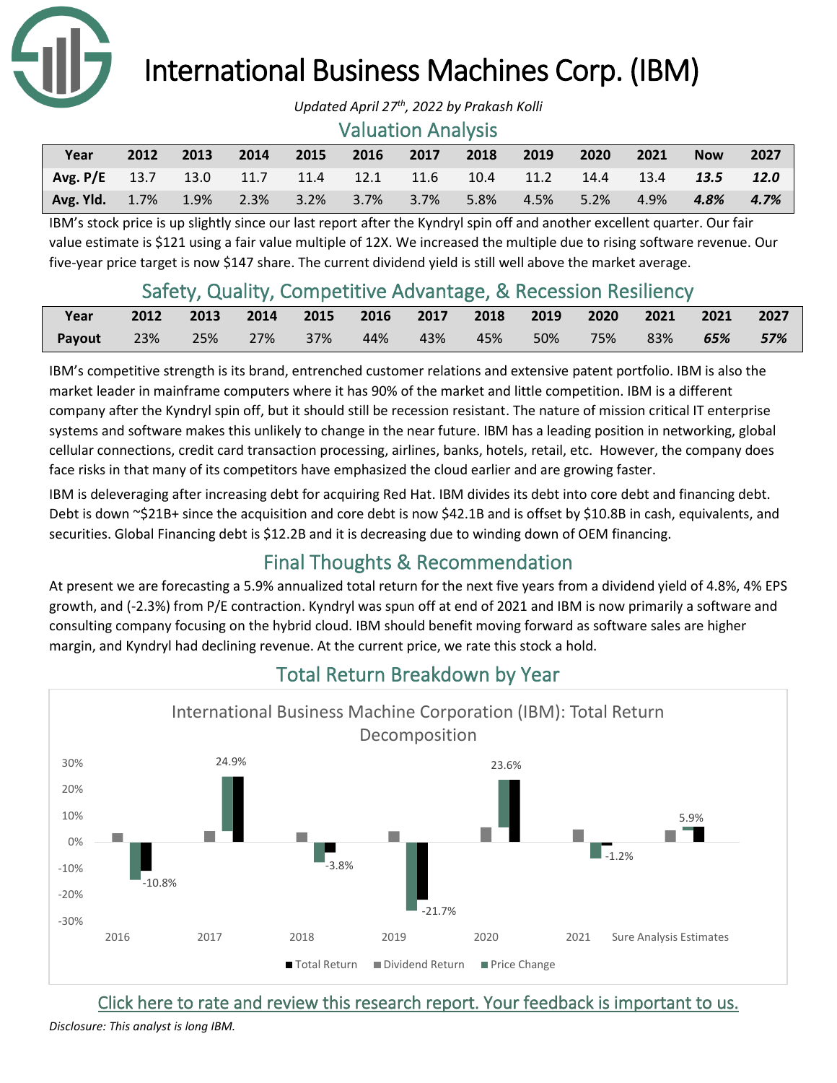

# International Business Machines Corp. (IBM)

#### Valuation Analysis

| Year                                                                 | 2012 | 2013 |  | 2014 2015 2016 2017 2018 2019 |  | 2020 | 2021 | <b>Now</b>      | 2027 |
|----------------------------------------------------------------------|------|------|--|-------------------------------|--|------|------|-----------------|------|
| Avg. P/E 13.7 13.0 11.7 11.4 12.1 11.6 10.4 11.2 14.4 13.4 13.5 12.0 |      |      |  |                               |  |      |      |                 |      |
| Avg. Yld. 1.7% 1.9% 2.3% 3.2% 3.7% 3.7% 5.8% 4.5% 5.2% 4.9%          |      |      |  |                               |  |      |      | $4.8\%$ $4.7\%$ |      |

IBM's stock price is up slightly since our last report after the Kyndryl spin off and another excellent quarter. Our fair value estimate is \$121 using a fair value multiple of 12X. We increased the multiple due to rising software revenue. Our five-year price target is now \$147 share. The current dividend yield is still well above the market average.

## Safety, Quality, Competitive Advantage, & Recession Resiliency

| Year                                                          | 2012 2013 2014 2015 2016 2017 2018 2019 2020 2021 2021 2027 |  |  |  |  |  |
|---------------------------------------------------------------|-------------------------------------------------------------|--|--|--|--|--|
| Payout 23% 25% 27% 37% 44% 43% 45% 50% 75% 83% <b>65% 57%</b> |                                                             |  |  |  |  |  |

IBM's competitive strength is its brand, entrenched customer relations and extensive patent portfolio. IBM is also the market leader in mainframe computers where it has 90% of the market and little competition. IBM is a different company after the Kyndryl spin off, but it should still be recession resistant. The nature of mission critical IT enterprise systems and software makes this unlikely to change in the near future. IBM has a leading position in networking, global cellular connections, credit card transaction processing, airlines, banks, hotels, retail, etc. However, the company does face risks in that many of its competitors have emphasized the cloud earlier and are growing faster.

IBM is deleveraging after increasing debt for acquiring Red Hat. IBM divides its debt into core debt and financing debt. Debt is down ~\$21B+ since the acquisition and core debt is now \$42.1B and is offset by \$10.8B in cash, equivalents, and securities. Global Financing debt is \$12.2B and it is decreasing due to winding down of OEM financing.

## Final Thoughts & Recommendation

At present we are forecasting a 5.9% annualized total return for the next five years from a dividend yield of 4.8%, 4% EPS growth, and (-2.3%) from P/E contraction. Kyndryl was spun off at end of 2021 and IBM is now primarily a software and consulting company focusing on the hybrid cloud. IBM should benefit moving forward as software sales are higher margin, and Kyndryl had declining revenue. At the current price, we rate this stock a hold.



## Total Return Breakdown by Year

[Click here to rate and review this research report. Your feedback is important to us.](https://suredividend.typeform.com/to/cs7Wce)

*Disclosure: This analyst is long IBM.*

*Updated April 27th, 2022 by Prakash Kolli*